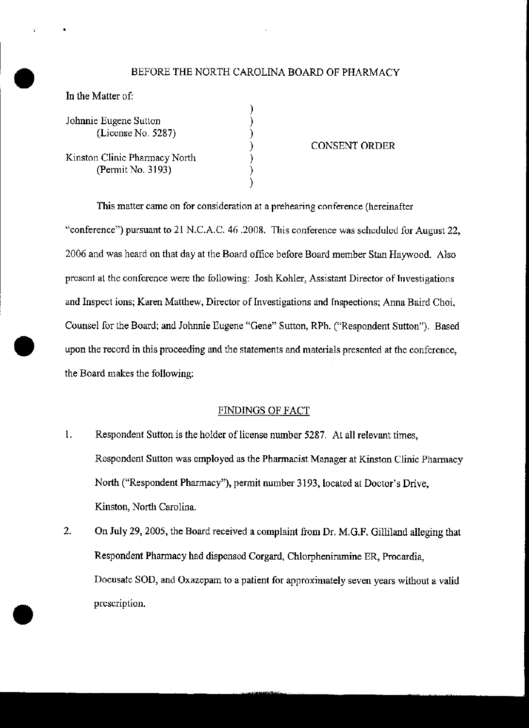## BEFORE THE NORTH CAROLINA BOARD OF PHARMACY

) ) ) ) ) ) )

|  |  | In the Matter of: |  |
|--|--|-------------------|--|
|--|--|-------------------|--|

•

**•** 

•

| Johnnie Eugene Sutton<br>(License No. 5287)        |
|----------------------------------------------------|
| Kinston Clinic Pharmacy North<br>(Permit No. 3193) |

## CONSENT ORDER

This matter came on for consideration at a prehearing conference (hereinafter "conference") pursuant to 21 N.C.A.C. 46 .2008. This conference was scheduled for August 22, 2006 and was heard on that day at the Board office before Board member Stan Haywood. Also present at the conference were the following: Josh Kohler, Assistant Director of Tnvestigations and Inspect ions; Karen Matthew, Director of Investigations and Inspections; Anna Baird Choi, Counsel for the Board; and Johnnie Eugene "Gene" Sutton, RPh. ("Respondent Sutton"). Based upon the record in this proceeding and the statements and materials presented at the conference, the Board makes the following:

## FINDINGS OF FACT

- 1. Respondent Sutton is the holder of license number 5287. At all relevant times, Respondent Sutton was employed as the Pharmacist Manager at Kinston Clinic Pharmacy North ("Respondent Pharmacy!», pemit number 3193, located at Doctor's Drive, Kinston, North Carolina.
- 2. On July 29, 2005, the Board received a complaint from Dr. M.G.F. Gilliland alleging that Respondent Phannacy had dispensed Corgard, Chlorpheniramine ER, Procardia, Docusate SOD, and Oxazepam to a patient for approximately seven years without a valid prescription.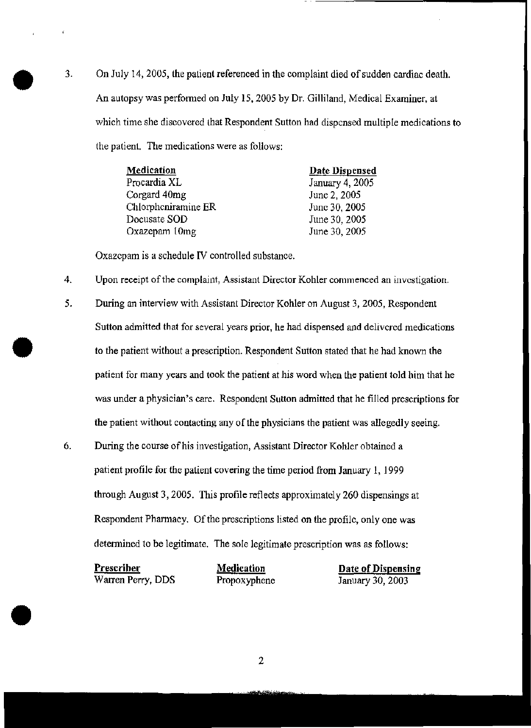<sup>3</sup>. On July 14, 2005, the patient referenced in the complaint died of sudden cardiac death.<br>An autopsy was performed on July 15, 2005 by Dr. Gilliland, Medical Examiner, at An autopsy was performed on July IS, 2005 by Dr. Gilliland, Medical Examiner, at which time she discovered that Respondent Sutton had dispensed multiple medications to the patient. The medications were as follows:

> Medication Proeardia XL Corgard 40mg Chlorphcniramine ER Docusate SOD Oxazepam 10mg Date Dispensed January 4,2005 June 2, 2005 June 30, 2005 June 30, 2005 June 30, 2005

Oxazepam is a schedule IV controlled substance.

**•** 

•

- 4. Upon receipt of the complaint, Assistant Director Kohler commenced an investigation.
- 5. During an interview with Assistant Director Kohler on August 3, 2005, Respondent Sutton admitted that for several years prior, he had dispensed and delivered medications to the patient without a prescription. Respondent Sutton stated that he had known the patient for many years and took the patient at his word when the patient told him that he was under a physician's care. Respondent Sutton admitted that he filled prescriptions for the patient without contacting any of the physicians the patient was allegedly seeing.
- 6. During the course of his investigation, Assistant Director Kohler obtained a patient profile for the patient covering the time period from January 1, 1999 through August 3, 2005. This profile reflects approximately 260 dispensings at Respondent Pharmacy. Of the prescriptions listed on the profile, only one was determined to be legitimate. The sole legitimate prescription was as follows:

| <u>Prescriber</u> | <b>Medication</b> | Date of Dispensing |
|-------------------|-------------------|--------------------|
| Warren Perry, DDS | Propoxyphene      | January 30, 2003   |

2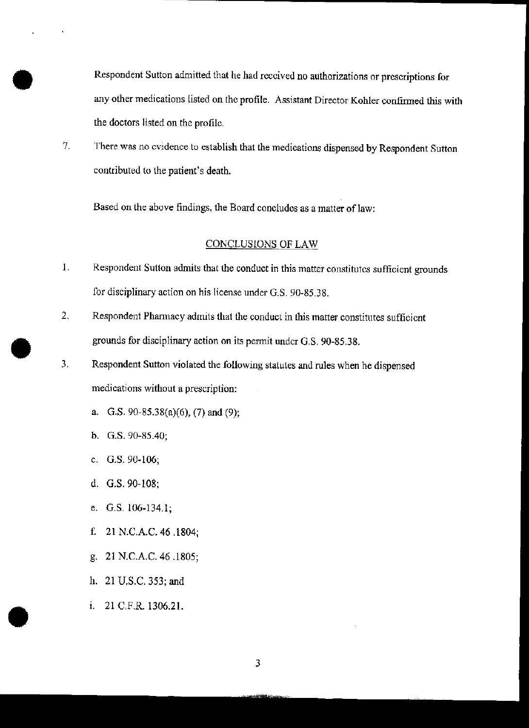**Respondent Sutton admitted that he had received no authorizations or prescriptions for any other medications listed on the profile. Assistant Director Kohler continued this with the doctors listed on the profile.**

7. **There was no evidence to establish that the medications dispensed by Respondent Sutton contributed to the patient's death.**

**Based on the above findings, the Board concludes as amatter** oflaw:

## CONCLUSIONS OF LAW

- **1. Respondent Sutton admits that the conduct in this matter constitutes sufficient grounds for disciplinary action on his license under G.S. 90-85.38.**
- 2. **Respondent Phanllacy admits that the conduct in this matter constitutes sufficient grounds for disciplinary action on its pennit under** *a.s. 90-85.38 .*
- 3. **Respondent Sutton violated the following statutes and rules when he dispensed medications without a prescription:**
	- a. G.s. 90-85.38(a)(6), (7) and (9);
	- b. G.S.90-85.40;

•

•

•

- c. G.S.90-106;
- d. G.S.90-108;
- e. G.S.106-134.1;
- f. 21 N.C.A.C. 46 .1804;
- g. 21 N.C.A.C. 46 .1805;
- h. 21 U.S.C. 353; and
- I. 21 C.F.R. 1306.21.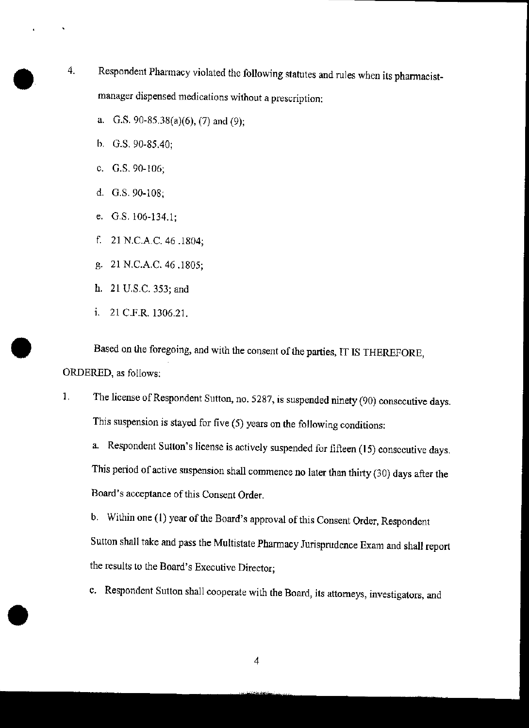- 4. **Respondent Pharmacy violated the following statutes and rules when its phannacistmanager dispensed medications without a prescription:**
	- a. G.S.  $90-85.38(a)(6)$ , (7) and (9);
	- h. G.S. 90-85.40;
	- c. G.S. 90-106;
	- d. G.S. 90-108;
	- e. G.S.l06-134.1;
	- f. 21 N.C.A.C. 46 .1804;
	- g. 21 N.C.A.C. 46 .1805;
	- h. 21 U.S.C. 353; and
	- 1. 21 C.F.R. 1306.21.

**•** 

**•** 

**Based on the foregoing, and with the consent** ofthe **parties, IT IS THEREFORE,** ORDERED, as follows:

**1. The license** ofRespondent **Sutton, no. 5287, is suspended ninety (90) consecutive days. This suspension is stayed for five (5) years on the following conditions:**

**a. Respondent Sutton's license is actively suspended for fifteen (15) consecutive days. This period of active suspension shall commence no later than thirty (30) days after the Board's acceptance ofthis Consent Order.**

**b.** Within one (1) year of the Board's approval of this Consent Order, Respondent Sutton shall take and pass the Multistate Pharmacy Jurisprudence Exam and shall report **the results to the Board's Executive Director;**

**c. Respondent Sutton shall cooperate with the Board, its attorneys, investigators, and**

4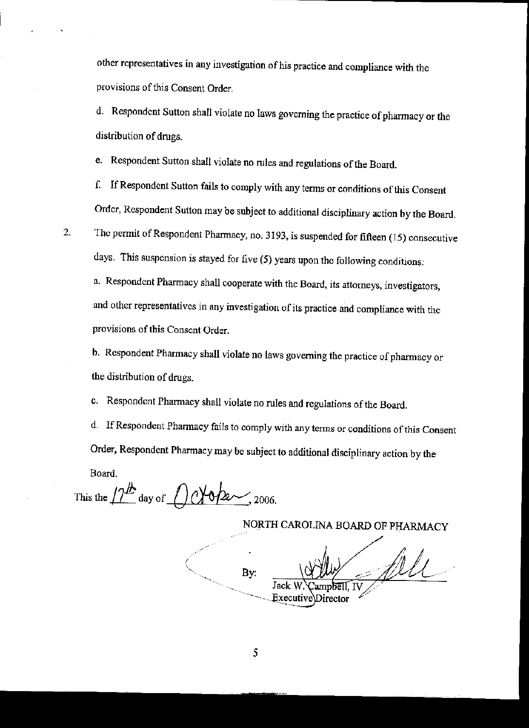other representatives in any investigation of his practice and compliance with the provisions of this Consent Order.

d. Respondent Sutton shall violate no laws governing the practice of pharmacy or the distribution of drugs.

e. Respondent Sutton shall violate no rules and regulations of the Board.

f. IfRespondent Sutton fails to comply with any terms or conditions ofthis Consent Order, Respondent Sutton may be subject to additional disciplinary action by the Board.

2. The permit of Respondent Pharmacy, no. 3193, is suspended for fifteen (15) consecutive days. This suspension is stayed for five (5) years upon the following conditions:

a. Respondent Pharmacy shall cooperate with the Board, its attorneys, investigators, and other representatives in any investigation of its practice and compliance with the provisions of this Consent Order.

b. Respondent Pharmacy shall violate no laws governing the practice of pharmacy or the distribution of drugs.

c. Respondent Pharmacy shall violate no rules and regulations ofthe Board.

d. If Respondent Pharmacy fails to comply with any terms or conditions of this Consent Order, Respondent Pharmacy may be subject to additional disciplinary action by the Board.

This the  $12^{\frac{h}{2}}$  day of  $0$   $\sqrt{0/2}$ , 2006.

NORTH CAROLINA BOARD OF PHARMACY

file By: Jack Executive Director

5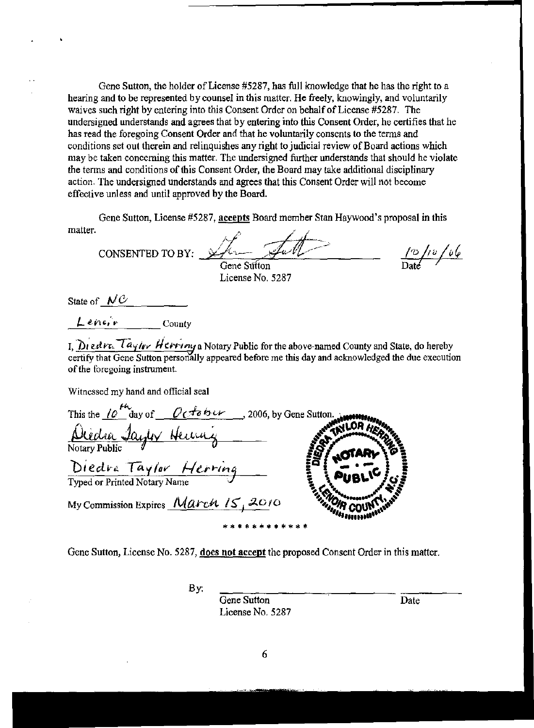Gene Sutton, the holder of License #5287, has full knowledge that he has the right to a hearing and to be represented by counsel in this matter. He freely, knowingly, and voluntarily waives such right by entering into this Consent Order on behalf of License #5287. The undersigned understands and agrees that by entering into this Consent Order, he certifies that he has read the foregoing Consent Order and that he voluntarily consents to the terms and conditions set out therein and relinquishes any right to judicial review of Board actions which may be taken concerning this matter. The undersigned further understands that should he violate the terms and conditions of this Consent Order, the Board may take additional disciplinary action. The undersigned understands and agrees that this Consent Order will not become effective unless and until approved by the Board.

Gene Sutton, License #5287, accepts Board member Stan Haywood's proposal in this matter.

 $\frac{10}{\text{Date}}$ CONSENTED TO BY: Gene Sutton

License No. 5287

State of  $N\mathcal{C}$ 

 $Lenir$  County

I, Diedve Taylor Herring a Notary Public for the above-named County and State, do hereby certify that Gene Sutton personally appeared before me this day and acknowledged the due execution of the foregoing instrument.

Witnessed my hand and official seal

| This the $10^{14}$ day of $04$ ber   | 32006, by Gene Sutton. And The |
|--------------------------------------|--------------------------------|
| <u>Diedra Jayler Henry</u>           |                                |
|                                      |                                |
| Diedra Taylor Herring                | <b>PUBLICE</b>                 |
| Typed or Printed Notary Name         |                                |
| My Commission Expires March 15, 2010 |                                |
|                                      |                                |

Gene Sutton, License No. 5287, does not accept the proposed Consent Order in this matter.

By:

Gene Sutton License No. 5287

Date